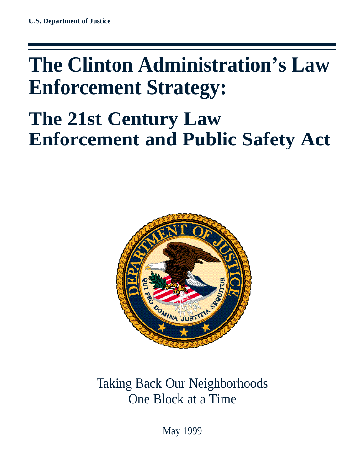# **The Clinton Administration's Law Enforcement Strategy:**

# **The 21st Century Law Enforcement and Public Safety Act**



# Taking Back Our Neighborhoods One Block at a Time

May 1999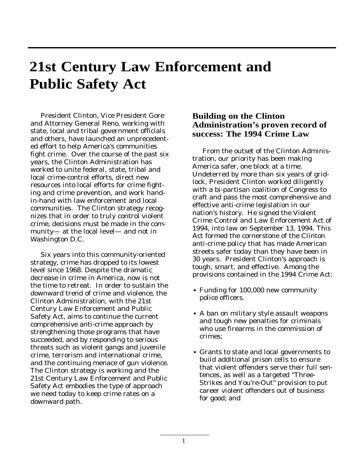# **21st Century Law Enforcement and Public Safety Act**

President Clinton, Vice President Gore and Attorney General Reno, working with state, local and tribal government officials and others, have launched an unprecedented effort to help America's communities fight crime. Over the course of the past six years, the Clinton Administration has worked to unite federal, state, tribal and local crime-control efforts, direct new resources into local efforts for crime fighting and crime prevention, and work handin-hand with law enforcement and local communities. The Clinton strategy recognizes that in order to truly control violent crime, decisions must be made in the community— at the local level— and not in Washington D.C.

Six years into this community-oriented strategy, crime has dropped to its lowest level since 1968. Despite the dramatic decrease in crime in America, now is not the time to retreat. In order to sustain the downward trend of crime and violence, the Clinton Administration, with the 21st Century Law Enforcement and Public Safety Act, aims to continue the current comprehensive anti-crime approach by strengthening those programs that have succeeded, and by responding to serious threats such as violent gangs and juvenile crime, terrorism and international crime, and the continuing menace of gun violence. The Clinton strategy is working and the 21st Century Law Enforcement and Public Safety Act embodies the type of approach we need today to keep crime rates on a downward path.

# **Building on the Clinton Administration's proven record of success: The 1994 Crime Law**

From the outset of the Clinton Administration, our priority has been making America safer, one block at a time. Undeterred by more than six years of gridlock, President Clinton worked diligently with a bi-partisan coalition of Congress to craft and pass the most comprehensive and effective anti-crime legislation in our nation's history. He signed the Violent Crime Control and Law Enforcement Act of 1994, into law on September 13, 1994. This Act formed the cornerstone of the Clinton anti-crime policy that has made American streets safer today than they have been in 30 years. President Clinton's approach is tough, smart, and effective. Among the provisions contained in the 1994 Crime Act:

- Funding for 100,000 new community police officers.
- A ban on military style assault weapons and tough new penalties for criminals who use firearms in the commission of crimes;
- Grants to state and local governments to •build additional prison cells to ensure that violent offenders serve their full sentences, as well as a targeted "Three-Strikes and You're-Out" provision to put career violent offenders out of business for good; and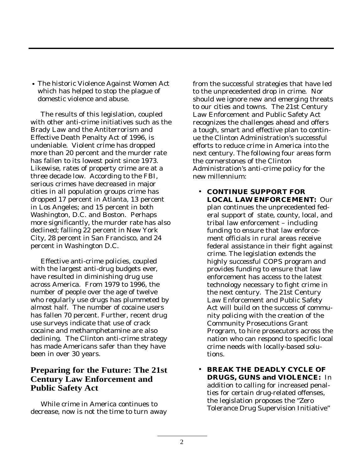• The historic Violence Against Women Act which has helped to stop the plague of domestic violence and abuse.

The results of this legislation, coupled with other anti-crime initiatives such as the Brady Law and the Antiterrorism and Effective Death Penalty Act of 1996, is undeniable. Violent crime has dropped more than 20 percent and the murder rate has fallen to its lowest point since 1973. Likewise, rates of property crime are at a three decade low. According to the FBI, serious crimes have decreased in major cities in all population groups crime has dropped 17 percent in Atlanta, 13 percent in Los Angeles; and 15 percent in both Washington, D.C. and Boston. Perhaps more significantly, the murder rate has also declined; falling 22 percent in New York City, 28 percent in San Francisco, and 24 percent in Washington D.C.

Effective anti-crime policies, coupled with the largest anti-drug budgets ever, have resulted in diminishing drug use across America. From 1979 to 1996, the number of people over the age of twelve who regularly use drugs has plummeted by almost half. The number of cocaine users has fallen 70 percent. Further, recent drug use surveys indicate that use of crack cocaine and methamphetamine are also declining. The Clinton anti-crime strategy has made Americans safer than they have been in over 30 years.

# **Preparing for the Future: The 21st Century Law Enforcement and Public Safety Act**

While crime in America continues to decrease, now is not the time to turn away from the successful strategies that have led to the unprecedented drop in crime. Nor should we ignore new and emerging threats to our cities and towns. The 21st Century Law Enforcement and Public Safety Act recognizes the challenges ahead and offers a tough, smart and effective plan to continue the Clinton Administration's successful efforts to reduce crime in America into the next century. The following four areas form the cornerstones of the Clinton Administration's anti-crime policy for the new millennium:

- **CONTINUE SUPPORT FOR LOCAL LAW ENFORCEMENT:** Our plan continues the unprecedented federal support of state, county, local, and tribal law enforcement – including funding to ensure that law enforcement officials in rural areas receive federal assistance in their fight against crime. The legislation extends the highly successful COPS program and provides funding to ensure that law enforcement has access to the latest technology necessary to fight crime in the next century. The 21st Century Law Enforcement and Public Safety Act will build on the success of community policing with the creation of the Community Prosecutions Grant Program, to hire prosecutors across the nation who can respond to specific local crime needs with locally-based solutions.
- **BREAK THE DEADLY CYCLE OF DRUGS, GUNS and VIOLENCE:** In addition to calling for increased penalties for certain drug-related offenses, the legislation proposes the "Zero Tolerance Drug Supervision Initiative" •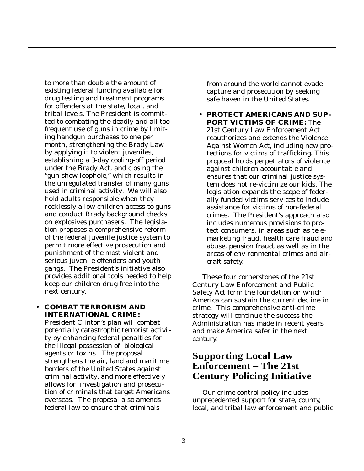to more than double the amount of existing federal funding available for drug testing and treatment programs for offenders at the state, local, and tribal levels. The President is committed to combating the deadly and all too frequent use of guns in crime by limiting handgun purchases to one per month, strengthening the Brady Law by applying it to violent juveniles, establishing a 3-day cooling-off period under the Brady Act, and closing the "gun show loophole," which results in the unregulated transfer of many guns used in criminal activity. We will also hold adults responsible when they recklessly allow children access to guns and conduct Brady background checks on explosives purchasers. The legislation proposes a comprehensive reform of the federal juvenile justice system to permit more effective prosecution and punishment of the most violent and serious juvenile offenders and youth gangs. The President's initiative also provides additional tools needed to help keep our children drug free into the next century.

#### **COMBAT TERRORISM AND** •**INTERNATIONAL CRIME:**

President Clinton's plan will combat potentially catastrophic terrorist activity by enhancing federal penalties for the illegal possession of biological agents or toxins. The proposal strengthens the air, land and maritime borders of the United States against criminal activity, and more effectively allows for investigation and prosecution of criminals that target Americans overseas. The proposal also amends federal law to ensure that criminals

from around the world cannot evade capture and prosecution by seeking safe haven in the United States.

**PROTECT AMERICANS AND SUP-**• **PORT VICTIMS OF CRIME:** The 21st Century Law Enforcement Act reauthorizes and extends the Violence Against Women Act, including new protections for victims of trafficking. This proposal holds perpetrators of violence against children accountable and ensures that our criminal justice system does not re-victimize our kids. The legislation expands the scope of federally funded victims services to include assistance for victims of non-federal crimes. The President's approach also includes numerous provisions to protect consumers, in areas such as telemarketing fraud, health care fraud and abuse, pension fraud, as well as in the areas of environmental crimes and aircraft safety.

These four cornerstones of the 21st Century Law Enforcement and Public Safety Act form the foundation on which America can sustain the current decline in crime. This comprehensive anti-crime strategy will continue the success the Administration has made in recent years and make America safer in the next century.

# **Supporting Local Law Enforcement – The 21st Century Policing Initiative**

Our crime control policy includes unprecedented support for state, county, local, and tribal law enforcement and public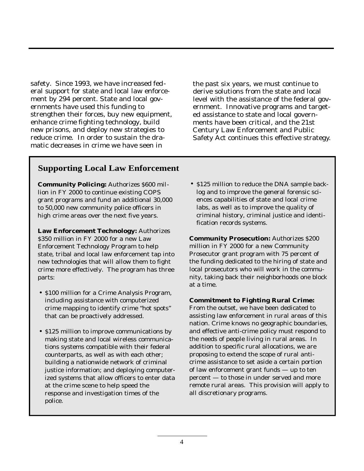safety. Since 1993, we have increased federal support for state and local law enforcement by 294 percent. State and local governments have used this funding to strengthen their forces, buy new equipment, enhance crime fighting technology, build new prisons, and deploy new strategies to reduce crime. In order to sustain the dramatic decreases in crime we have seen in

the past six years, we must continue to derive solutions from the state and local level with the assistance of the federal government. Innovative programs and targeted assistance to state and local governments have been critical, and the 21st Century Law Enforcement and Public Safety Act continues this effective strategy.

# **Supporting Local Law Enforcement**

**Community Policing:** Authorizes \$600 million in FY 2000 to continue existing COPS grant programs and fund an additional 30,000 to 50,000 new community police officers in high crime areas over the next five years.

**Law Enforcement Technology:** Authorizes \$350 million in FY 2000 for a new Law Enforcement Technology Program to help state, tribal and local law enforcement tap into new technologies that will allow them to fight crime more effectively. The program has three parts:

- \$100 million for a Crime Analysis Program, including assistance with computerized crime mapping to identify crime "hot spots" that can be proactively addressed.
- \$125 million to improve communications by making state and local wireless communications systems compatible with their federal counterparts, as well as with each other; building a nationwide network of criminal justice information; and deploying computerized systems that allow officers to enter data at the crime scene to help speed the response and investigation times of the police.

• \$125 million to reduce the DNA sample backlog and to improve the general forensic sciences capabilities of state and local crime labs, as well as to improve the quality of criminal history, criminal justice and identification records systems.

**Community Prosecution:** Authorizes \$200 million in FY 2000 for a new Community Prosecutor grant program with 75 percent of the funding dedicated to the hiring of state and local prosecutors who will work in the community, taking back their neighborhoods one block at a time.

#### **Commitment to Fighting Rural Crime:**

From the outset, we have been dedicated to assisting law enforcement in rural areas of this nation. Crime knows no geographic boundaries, and effective anti-crime policy must respond to the needs of people living in rural areas. In addition to specific rural allocations, we are proposing to extend the scope of rural anticrime assistance to set aside a certain portion of law enforcement grant funds — up to ten percent — to those in under served and more remote rural areas. This provision will apply to all discretionary programs.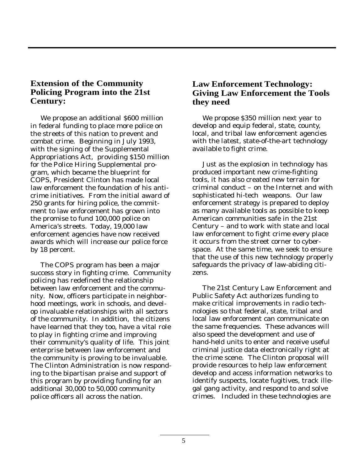# **Extension of the Community Policing Program into the 21st Century:**

We propose an additional \$600 million in federal funding to place more police on the streets of this nation to prevent and combat crime. Beginning in July 1993, with the signing of the Supplemental Appropriations Act, providing \$150 million for the Police Hiring Supplemental program, which became the blueprint for COPS, President Clinton has made local law enforcement the foundation of his anticrime initiatives. From the initial award of 250 grants for hiring police, the commitment to law enforcement has grown into the promise to fund 100,000 police on America's streets. Today, 19,000 law enforcement agencies have now received awards which will increase our police force by 18 percent.

The COPS program has been a major success story in fighting crime. Community policing has redefined the relationship between law enforcement and the community. Now, officers participate in neighborhood meetings, work in schools, and develop invaluable relationships with all sectors of the community. In addition, the citizens have learned that they too, have a vital role to play in fighting crime and improving their community's quality of life. This joint enterprise between law enforcement and the community is proving to be invaluable. The Clinton Administration is now responding to the bipartisan praise and support of this program by providing funding for an additional 30,000 to 50,000 community police officers all across the nation.

# **Law Enforcement Technology: Giving Law Enforcement the Tools they need**

We propose \$350 million next year to develop and equip federal, state, county, local, and tribal law enforcement agencies with the latest, state-of-the-art technology available to fight crime.

Just as the explosion in technology has produced important new crime-fighting tools, it has also created new terrain for criminal conduct – on the Internet and with sophisticated hi-tech weapons. Our law enforcement strategy is prepared to deploy as many available tools as possible to keep American communities safe in the 21st Century – and to work with state and local law enforcement to fight crime every place it occurs from the street corner to cyberspace. At the same time, we seek to ensure that the use of this new technology properly safeguards the privacy of law-abiding citizens.

The 21st Century Law Enforcement and Public Safety Act authorizes funding to make critical improvements in radio technologies so that federal, state, tribal and local law enforcement can communicate on the same frequencies. These advances will also speed the development and use of hand-held units to enter and receive useful criminal justice data electronically right at the crime scene. The Clinton proposal will provide resources to help law enforcement develop and access information networks to identify suspects, locate fugitives, track illegal gang activity, and respond to and solve crimes. Included in these technologies are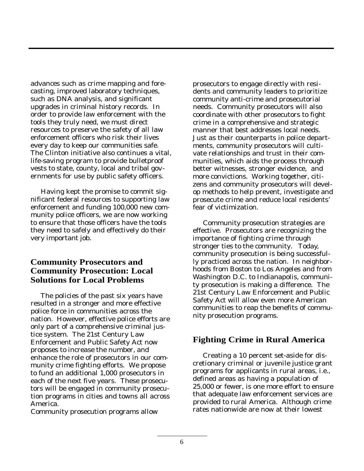advances such as crime mapping and forecasting, improved laboratory techniques, such as DNA analysis, and significant upgrades in criminal history records. In order to provide law enforcement with the tools they truly need, we must direct resources to preserve the safety of all law enforcement officers who risk their lives every day to keep our communities safe. The Clinton initiative also continues a vital, life-saving program to provide bulletproof vests to state, county, local and tribal governments for use by public safety officers.

Having kept the promise to commit significant federal resources to supporting law enforcement and funding 100,000 new community police officers, we are now working to ensure that those officers have the tools they need to safely and effectively do their very important job.

# **Community Prosecutors and Community Prosecution: Local Solutions for Local Problems**

The policies of the past six years have resulted in a stronger and more effective police force in communities across the nation. However, effective police efforts are only part of a comprehensive criminal justice system. The 21st Century Law Enforcement and Public Safety Act now proposes to increase the number, and enhance the role of prosecutors in our community crime fighting efforts. We propose to fund an additional 1,000 prosecutors in each of the next five years. These prosecutors will be engaged in community prosecution programs in cities and towns all across America.

Community prosecution programs allow

prosecutors to engage directly with residents and community leaders to prioritize community anti-crime and prosecutorial needs. Community prosecutors will also coordinate with other prosecutors to fight crime in a comprehensive and strategic manner that best addresses local needs. Just as their counterparts in police departments, community prosecutors will cultivate relationships and trust in their communities, which aids the process through better witnesses, stronger evidence, and more convictions. Working together, citizens and community prosecutors will develop methods to help prevent, investigate and prosecute crime and reduce local residents' fear of victimization.

Community prosecution strategies are effective. Prosecutors are recognizing the importance of fighting crime through stronger ties to the community. Today, community prosecution is being successfully practiced across the nation. In neighborhoods from Boston to Los Angeles and from Washington D.C. to Indianapolis, community prosecution is making a difference. The 21st Century Law Enforcement and Public Safety Act will allow even more American communities to reap the benefits of community prosecution programs.

# **Fighting Crime in Rural America**

Creating a 10 percent set-aside for discretionary criminal or juvenile justice grant programs for applicants in rural areas, i.e., defined areas as having a population of 25,000 or fewer, is one more effort to ensure that adequate law enforcement services are provided to rural America. Although crime rates nationwide are now at their lowest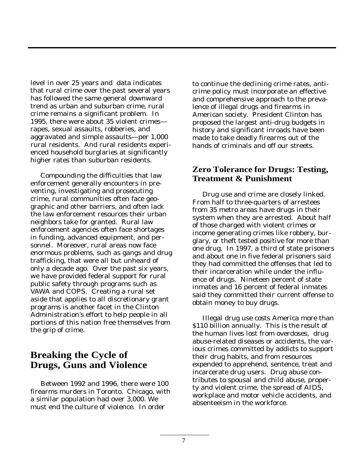level in over 25 years and data indicates that rural crime over the past several years has followed the same general downward trend as urban and suburban crime, rural crime remains a significant problem. In 1995, there were about 35 violent crimes rapes, sexual assaults, robberies, and aggravated and simple assaults—per 1,000 rural residents. And rural residents experienced household burglaries at significantly higher rates than suburban residents.

Compounding the difficulties that law enforcement generally encounters in preventing, investigating and prosecuting crime, rural communities often face geographic and other barriers, and often lack the law enforcement resources their urban neighbors take for granted. Rural law enforcement agencies often face shortages in funding, advanced equipment, and personnel. Moreover, rural areas now face enormous problems, such as gangs and drug trafficking, that were all but unheard of only a decade ago. Over the past six years, we have provided federal support for rural public safety through programs such as VAWA and COPS. Creating a rural set aside that applies to all discretionary grant programs is another facet in the Clinton Administration's effort to help people in all portions of this nation free themselves from the grip of crime.

# **Breaking the Cycle of Drugs, Guns and Violence**

Between 1992 and 1996, there were 100 firearms murders in Toronto. Chicago, with a similar population had over 3,000. We must end the culture of violence. In order

to continue the declining crime rates, anticrime policy must incorporate an effective and comprehensive approach to the prevalence of illegal drugs and firearms in American society. President Clinton has proposed the largest anti-drug budgets in history and significant inroads have been made to take deadly firearms out of the hands of criminals and off our streets.

#### **Zero Tolerance for Drugs: Testing, Treatment & Punishment**

Drug use and crime are closely linked. From half to three-quarters of arrestees from 35 metro areas have drugs in their system when they are arrested. About half of those charged with violent crimes or income generating crimes like robbery, burglary, or theft tested positive for more than one drug. In 1997, a third of state prisoners and about one in five federal prisoners said they had committed the offenses that led to their incarceration while under the influence of drugs. Nineteen percent of state inmates and 16 percent of federal inmates said they committed their current offense to obtain money to buy drugs.

Illegal drug use costs America more than \$110 billion annually. This is the result of the human lives lost from overdoses, drug abuse-related diseases or accidents, the various crimes committed by addicts to support their drug habits, and from resources expended to apprehend, sentence, treat and incarcerate drug users. Drug abuse contributes to spousal and child abuse, property and violent crime, the spread of AIDS, workplace and motor vehicle accidents, and absenteeism in the workforce.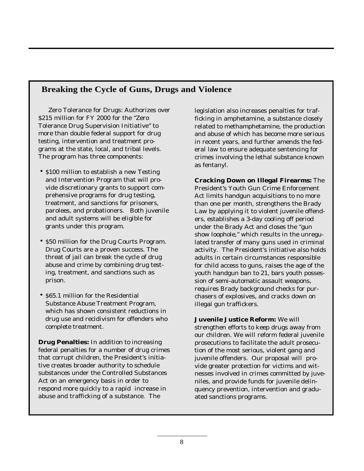# **Breaking the Cycle of Guns, Drugs and Violence**

Zero Tolerance for Drugs: Authorizes over \$215 million for FY 2000 for the "Zero Tolerance Drug Supervision Initiative" to more than double federal support for drug testing, intervention and treatment programs at the state, local, and tribal levels. The program has three components:

- \$100 million to establish a new Testing and Intervention Program that will provide discretionary grants to support comprehensive programs for drug testing, treatment, and sanctions for prisoners, parolees, and probationers. Both juvenile and adult systems will be eligible for grants under this program.
- \$50 million for the Drug Courts Program. Drug Courts are a proven success. The threat of jail can break the cycle of drug abuse and crime by combining drug testing, treatment, and sanctions such as prison.
- \$65.1 million for the Residential Substance Abuse Treatment Program, which has shown consistent reductions in drug use and recidivism for offenders who complete treatment.

**Drug Penalties:** In addition to increasing federal penalties for a number of drug crimes that corrupt children, the President's initiative creates broader authority to schedule substances under the Controlled Substances Act on an emergency basis in order to respond more quickly to a rapid increase in abuse and trafficking of a substance. The

legislation also increases penalties for trafficking in amphetamine, a substance closely related to methamphetamine, the production and abuse of which has become more serious in recent years, and further amends the federal law to ensure adequate sentencing for crimes involving the lethal substance known as fentanyl.

**Cracking Down on Illegal Firearms:** The President's Youth Gun Crime Enforcement Act limits handgun acquisitions to no more than one per month, strengthens the Brady Law by applying it to violent juvenile offenders, establishes a 3-day cooling off period under the Brady Act and closes the "gun show loophole," which results in the unregulated transfer of many guns used in criminal activity. The President's initiative also holds adults in certain circumstances responsible for child access to guns, raises the age of the youth handgun ban to 21, bars youth possession of semi-automatic assault weapons, requires Brady background checks for purchasers of explosives, and cracks down on illegal gun traffickers.

**Juvenile Justice Reform:** We will strengthen efforts to keep drugs away from our children. We will reform federal juvenile prosecutions to facilitate the adult prosecution of the most serious, violent gang and juvenile offenders. Our proposal will provide greater protection for victims and witnesses involved in crimes committed by juveniles, and provide funds for juvenile delinquency prevention, intervention and graduated sanctions programs.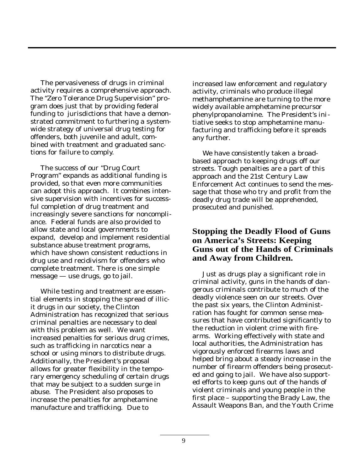The pervasiveness of drugs in criminal activity requires a comprehensive approach. The "Zero Tolerance Drug Supervision" program does just that by providing federal funding to jurisdictions that have a demonstrated commitment to furthering a systemwide strategy of universal drug testing for offenders, both juvenile and adult, combined with treatment and graduated sanctions for failure to comply.

The success of our "Drug Court Program" expands as additional funding is provided, so that even more communities can adopt this approach. It combines intensive supervision with incentives for successful completion of drug treatment and increasingly severe sanctions for noncompliance. Federal funds are also provided to allow state and local governments to expand, develop and implement residential substance abuse treatment programs, which have shown consistent reductions in drug use and recidivism for offenders who complete treatment. There is one simple message — use drugs, go to jail.

While testing and treatment are essential elements in stopping the spread of illicit drugs in our society, the Clinton Administration has recognized that serious criminal penalties are necessary to deal with this problem as well. We want increased penalties for serious drug crimes, such as trafficking in narcotics near a school or using minors to distribute drugs. Additionally, the President's proposal allows for greater flexibility in the temporary emergency scheduling of certain drugs that may be subject to a sudden surge in abuse. The President also proposes to increase the penalties for amphetamine manufacture and trafficking. Due to

increased law enforcement and regulatory activity, criminals who produce illegal methamphetamine are turning to the more widely available amphetamine precursor phenylpropanolamine. The President's initiative seeks to stop amphetamine manufacturing and trafficking before it spreads any further.

We have consistently taken a broadbased approach to keeping drugs off our streets. Tough penalties are a part of this approach and the 21st Century Law Enforcement Act continues to send the message that those who try and profit from the deadly drug trade will be apprehended, prosecuted and punished.

# **Stopping the Deadly Flood of Guns on America's Streets: Keeping Guns out of the Hands of Criminals and Away from Children.**

Just as drugs play a significant role in criminal activity, guns in the hands of dangerous criminals contribute to much of the deadly violence seen on our streets. Over the past six years, the Clinton Administration has fought for common sense measures that have contributed significantly to the reduction in violent crime with firearms. Working effectively with state and local authorities, the Administration has vigorously enforced firearms laws and helped bring about a steady increase in the number of firearm offenders being prosecuted and going to jail. We have also supported efforts to keep guns out of the hands of violent criminals and young people in the first place – supporting the Brady Law, the Assault Weapons Ban, and the Youth Crime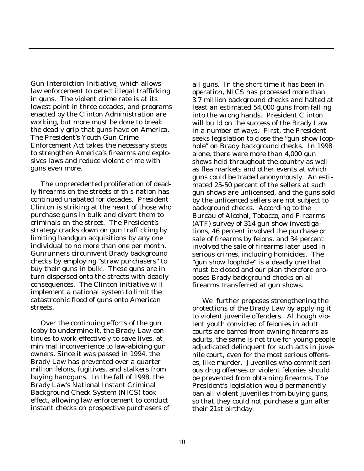Gun Interdiction Initiative, which allows law enforcement to detect illegal trafficking in guns. The violent crime rate is at its lowest point in three decades, and programs enacted by the Clinton Administration are working, but more must be done to break the deadly grip that guns have on America. The President's Youth Gun Crime Enforcement Act takes the necessary steps to strengthen America's firearms and explosives laws and reduce violent crime with guns even more.

The unprecedented proliferation of deadly firearms on the streets of this nation has continued unabated for decades. President Clinton is striking at the heart of those who purchase guns in bulk and divert them to criminals on the street. The President's strategy cracks down on gun trafficking by limiting handgun acquisitions by any one individual to no more than one per month. Gunrunners circumvent Brady background checks by employing "straw purchasers" to buy their guns in bulk. These guns are in turn dispersed onto the streets with deadly consequences. The Clinton initiative will implement a national system to limit the catastrophic flood of guns onto American streets.

Over the continuing efforts of the gun lobby to undermine it, the Brady Law continues to work effectively to save lives, at minimal inconvenience to law-abiding gun owners. Since it was passed in 1994, the Brady Law has prevented over a quarter million felons, fugitives, and stalkers from buying handguns. In the fall of 1998, the Brady Law's National Instant Criminal Background Check System (NICS) took effect, allowing law enforcement to conduct instant checks on prospective purchasers of all guns. In the short time it has been in operation, NICS has processed more than 3.7 million background checks and halted at least an estimated 54,000 guns from falling into the wrong hands. President Clinton will build on the success of the Brady Law in a number of ways. First, the President seeks legislation to close the "gun show loophole" on Brady background checks. In 1998 alone, there were more than 4,000 gun shows held throughout the country as well as flea markets and other events at which guns could be traded anonymously. An estimated 25-50 percent of the sellers at such gun shows are unlicensed, and the guns sold by the unlicenced sellers are not subject to background checks. According to the Bureau of Alcohol, Tobacco, and Firearms (ATF) survey of 314 gun show investigations, 46 percent involved the purchase or sale of firearms by felons, and 34 percent involved the sale of firearms later used in serious crimes, including homicides. The "gun show loophole" is a deadly one that must be closed and our plan therefore proposes Brady background checks on all firearms transferred at gun shows.

We further proposes strengthening the protections of the Brady Law by applying it to violent juvenile offenders. Although violent youth convicted of felonies in adult courts are barred from owning firearms as adults, the same is not true for young people adjudicated delinquent for such acts in juvenile court, even for the most serious offenses, like murder. Juveniles who commit serious drug offenses or violent felonies should be prevented from obtaining firearms. The President's legislation would permanently ban all violent juveniles from buying guns, so that they could not purchase a gun after their 21st birthday.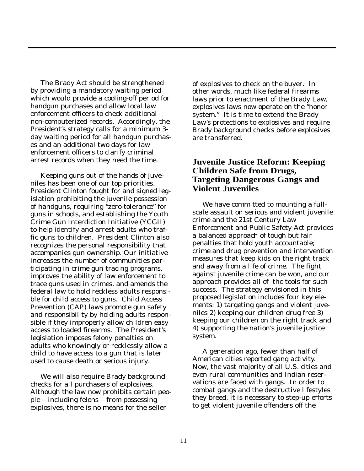The Brady Act should be strengthened by providing a mandatory waiting period which would provide a cooling-off period for handgun purchases and allow local law enforcement officers to check additional non-computerized records. Accordingly, the President's strategy calls for a minimum 3 day waiting period for all handgun purchases and an additional two days for law enforcement officers to clarify criminal arrest records when they need the time.

Keeping guns out of the hands of juveniles has been one of our top priorities. President Clinton fought for and signed legislation prohibiting the juvenile possession of handguns, requiring "zero-tolerance" for guns in schools, and establishing the Youth Crime Gun Interdiction Initiative (YCGII) to help identify and arrest adults who traffic guns to children. President Clinton also recognizes the personal responsibility that accompanies gun ownership. Our initiative increases the number of communities participating in crime gun tracing programs, improves the ability of law enforcement to trace guns used in crimes, and amends the federal law to hold reckless adults responsible for child access to guns. Child Access Prevention (CAP) laws promote gun safety and responsibility by holding adults responsible if they improperly allow children easy access to loaded firearms. The President's legislation imposes felony penalties on adults who knowingly or recklessly allow a child to have access to a gun that is later used to cause death or serious injury.

We will also require Brady background checks for all purchasers of explosives. Although the law now prohibits certain people – including felons – from possessing explosives, there is no means for the seller

of explosives to check on the buyer. In other words, much like federal firearms laws prior to enactment of the Brady Law, explosives laws now operate on the "honor system." It is time to extend the Brady Law's protections to explosives and require Brady background checks before explosives are transferred.

#### **Juvenile Justice Reform: Keeping Children Safe from Drugs, Targeting Dangerous Gangs and Violent Juveniles**

We have committed to mounting a fullscale assault on serious and violent juvenile crime and the 21st Century Law Enforcement and Public Safety Act provides a balanced approach of tough but fair penalties that hold youth accountable; crime and drug prevention and intervention measures that keep kids on the right track and away from a life of crime. The fight against juvenile crime can be won, and our approach provides all of the tools for such success. The strategy envisioned in this proposed legislation includes four key elements: 1) targeting gangs and violent juveniles 2) keeping our children drug free 3) keeping our children on the right track and 4) supporting the nation's juvenile justice system.

A generation ago, fewer than half of American cities reported gang activity. Now, the vast majority of all U.S. cities and even rural communities and Indian reservations are faced with gangs. In order to combat gangs and the destructive lifestyles they breed, it is necessary to step-up efforts to get violent juvenile offenders off the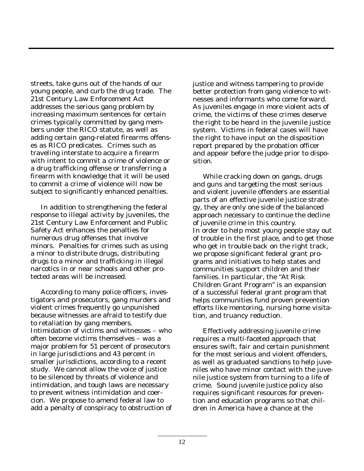streets, take guns out of the hands of our young people, and curb the drug trade. The 21st Century Law Enforcement Act addresses the serious gang problem by increasing maximum sentences for certain crimes typically committed by gang members under the RICO statute, as well as adding certain gang-related firearms offenses as RICO predicates. Crimes such as traveling interstate to acquire a firearm with intent to commit a crime of violence or a drug trafficking offense or transferring a firearm with knowledge that it will be used to commit a crime of violence will now be subject to significantly enhanced penalties.

In addition to strengthening the federal response to illegal activity by juveniles, the 21st Century Law Enforcement and Public Safety Act enhances the penalties for numerous drug offenses that involve minors. Penalties for crimes such as using a minor to distribute drugs, distributing drugs to a minor and trafficking in illegal narcotics in or near schools and other protected areas will be increased.

According to many police officers, investigators and prosecutors, gang murders and violent crimes frequently go unpunished because witnesses are afraid to testify due to retaliation by gang members. Intimidation of victims and witnesses – who often become victims themselves – was a major problem for 51 percent of prosecutors in large jurisdictions and 43 percent in smaller jurisdictions, according to a recent study. We cannot allow the voice of justice to be silenced by threats of violence and intimidation, and tough laws are necessary to prevent witness intimidation and coercion. We propose to amend federal law to add a penalty of conspiracy to obstruction of justice and witness tampering to provide better protection from gang violence to witnesses and informants who come forward. As juveniles engage in more violent acts of crime, the victims of these crimes deserve the right to be heard in the juvenile justice system. Victims in federal cases will have the right to have input on the disposition report prepared by the probation officer and appear before the judge prior to disposition.

While cracking down on gangs, drugs and guns and targeting the most serious and violent juvenile offenders are essential parts of an effective juvenile justice strategy, they are only one side of the balanced approach necessary to continue the decline of juvenile crime in this country. In order to help most young people stay out of trouble in the first place, and to get those who get in trouble back on the right track, we propose significant federal grant programs and initiatives to help states and communities support children and their families. In particular, the "At Risk Children Grant Program" is an expansion of a successful federal grant program that helps communities fund proven prevention efforts like mentoring, nursing home visitation, and truancy reduction.

Effectively addressing juvenile crime requires a multi-faceted approach that ensures swift, fair and certain punishment for the most serious and violent offenders, as well as graduated sanctions to help juveniles who have minor contact with the juvenile justice system from turning to a life of crime. Sound juvenile justice policy also requires significant resources for prevention and education programs so that children in America have a chance at the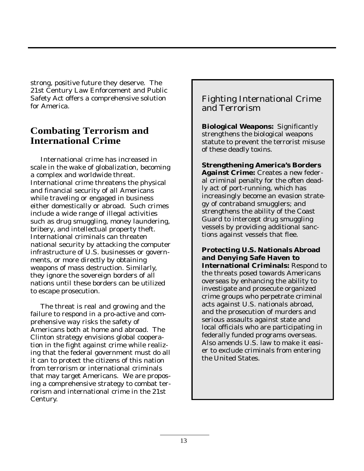strong, positive future they deserve. The 21st Century Law Enforcement and Public Safety Act offers a comprehensive solution for America.

# **Combating Terrorism and International Crime**

International crime has increased in scale in the wake of globalization, becoming a complex and worldwide threat. International crime threatens the physical and financial security of all Americans while traveling or engaged in business either domestically or abroad. Such crimes include a wide range of illegal activities such as drug smuggling, money laundering, bribery, and intellectual property theft. International criminals can threaten national security by attacking the computer infrastructure of U.S. businesses or governments, or more directly by obtaining weapons of mass destruction. Similarly, they ignore the sovereign borders of all nations until these borders can be utilized to escape prosecution.

The threat is real and growing and the failure to respond in a pro-active and comprehensive way risks the safety of Americans both at home and abroad. The Clinton strategy envisions global cooperation in the fight against crime while realizing that the federal government must do all it can to protect the citizens of this nation from terrorism or international criminals that may target Americans. We are proposing a comprehensive strategy to combat terrorism and international crime in the 21st Century.

# Fighting International Crime and Terrorism

**Biological Weapons:** Significantly strengthens the biological weapons statute to prevent the terrorist misuse of these deadly toxins.

**Strengthening America's Borders Against Crime:** Creates a new federal criminal penalty for the often deadly act of port-running, which has increasingly become an evasion strategy of contraband smugglers; and strengthens the ability of the Coast Guard to intercept drug smuggling vessels by providing additional sanctions against vessels that flee.

**Protecting U.S. Nationals Abroad and Denying Safe Haven to International Criminals:** Respond to the threats posed towards Americans overseas by enhancing the ability to investigate and prosecute organized crime groups who perpetrate criminal acts against U.S. nationals abroad, and the prosecution of murders and serious assaults against state and local officials who are participating in federally funded programs overseas. Also amends U.S. law to make it easier to exclude criminals from entering the United States.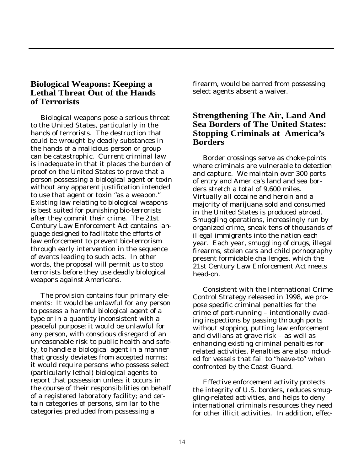# **Biological Weapons: Keeping a Lethal Threat Out of the Hands of Terrorists**

Biological weapons pose a serious threat to the United States, particularly in the hands of terrorists. The destruction that could be wrought by deadly substances in the hands of a malicious person or group can be catastrophic. Current criminal law is inadequate in that it places the burden of proof on the United States to prove that a person possessing a biological agent or toxin without any apparent justification intended to use that agent or toxin "as a weapon." Existing law relating to biological weapons is best suited for punishing bio-terrorists after they commit their crime. The 21st Century Law Enforcement Act contains language designed to facilitate the efforts of law enforcement to prevent bio-terrorism through early intervention in the sequence of events leading to such acts. In other words, the proposal will permit us to stop terrorists before they use deadly biological weapons against Americans.

The provision contains four primary elements: It would be unlawful for any person to possess a harmful biological agent of a type or in a quantity inconsistent with a peaceful purpose; it would be unlawful for any person, with conscious disregard of an unreasonable risk to public health and safety, to handle a biological agent in a manner that grossly deviates from accepted norms; it would require persons who possess select (particularly lethal) biological agents to report that possession unless it occurs in the course of their responsibilities on behalf of a registered laboratory facility; and certain categories of persons, similar to the categories precluded from possessing a

firearm, would be barred from possessing select agents absent a waiver.

# **Strengthening The Air, Land And Sea Borders of The United States: Stopping Criminals at America's Borders**

Border crossings serve as choke-points where criminals are vulnerable to detection and capture. We maintain over 300 ports of entry and America's land and sea borders stretch a total of 9,600 miles. Virtually all cocaine and heroin and a majority of marijuana sold and consumed in the United States is produced abroad. Smuggling operations, increasingly run by organized crime, sneak tens of thousands of illegal immigrants into the nation each year. Each year, smuggling of drugs, illegal firearms, stolen cars and child pornography present formidable challenges, which the 21st Century Law Enforcement Act meets head-on.

Consistent with the International Crime Control Strategy released in 1998, we propose specific criminal penalties for the crime of port-running – intentionally evading inspections by passing through ports without stopping, putting law enforcement and civilians at grave risk – as well as enhancing existing criminal penalties for related activities. Penalties are also included for vessels that fail to "heave-to" when confronted by the Coast Guard.

Effective enforcement activity protects the integrity of U.S. borders, reduces smuggling-related activities, and helps to deny international criminals resources they need for other illicit activities. In addition, effec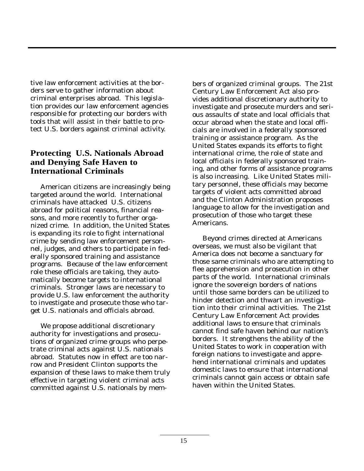tive law enforcement activities at the borders serve to gather information about criminal enterprises abroad. This legislation provides our law enforcement agencies responsible for protecting our borders with tools that will assist in their battle to protect U.S. borders against criminal activity.

# **Protecting U.S. Nationals Abroad and Denying Safe Haven to International Criminals**

American citizens are increasingly being targeted around the world. International criminals have attacked U.S. citizens abroad for political reasons, financial reasons, and more recently to further organized crime. In addition, the United States is expanding its role to fight international crime by sending law enforcement personnel, judges, and others to participate in federally sponsored training and assistance programs. Because of the law enforcement role these officials are taking, they automatically become targets to international criminals. Stronger laws are necessary to provide U.S. law enforcement the authority to investigate and prosecute those who target U.S. nationals and officials abroad.

We propose additional discretionary authority for investigations and prosecutions of organized crime groups who perpetrate criminal acts against U.S. nationals abroad. Statutes now in effect are too narrow and President Clinton supports the expansion of these laws to make them truly effective in targeting violent criminal acts committed against U.S. nationals by mem-

bers of organized criminal groups. The 21st Century Law Enforcement Act also provides additional discretionary authority to investigate and prosecute murders and serious assaults of state and local officials that occur abroad when the state and local officials are involved in a federally sponsored training or assistance program. As the United States expands its efforts to fight international crime, the role of state and local officials in federally sponsored training, and other forms of assistance programs is also increasing. Like United States military personnel, these officials may become targets of violent acts committed abroad and the Clinton Administration proposes language to allow for the investigation and prosecution of those who target these Americans.

Beyond crimes directed at Americans overseas, we must also be vigilant that America does not become a sanctuary for those same criminals who are attempting to flee apprehension and prosecution in other parts of the world. International criminals ignore the sovereign borders of nations until those same borders can be utilized to hinder detection and thwart an investigation into their criminal activities. The 21st Century Law Enforcement Act provides additional laws to ensure that criminals cannot find safe haven behind our nation's borders. It strengthens the ability of the United States to work in cooperation with foreign nations to investigate and apprehend international criminals and updates domestic laws to ensure that international criminals cannot gain access or obtain safe haven within the United States.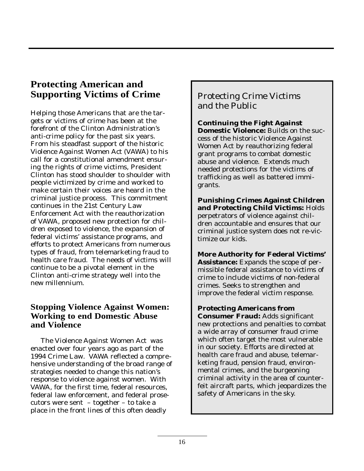# **Protecting American and Supporting Victims of Crime**

Helping those Americans that are the targets or victims of crime has been at the forefront of the Clinton Administration's anti-crime policy for the past six years. From his steadfast support of the historic Violence Against Women Act (VAWA) to his call for a constitutional amendment ensuring the rights of crime victims, President Clinton has stood shoulder to shoulder with people victimized by crime and worked to make certain their voices are heard in the criminal justice process. This commitment continues in the 21st Century Law Enforcement Act with the reauthorization of VAWA, proposed new protection for children exposed to violence, the expansion of federal victims' assistance programs, and efforts to protect Americans from numerous types of fraud, from telemarketing fraud to health care fraud. The needs of victims will continue to be a pivotal element in the Clinton anti-crime strategy well into the new millennium.

# **Stopping Violence Against Women: Working to end Domestic Abuse and Violence**

The Violence Against Women Act was enacted over four years ago as part of the 1994 Crime Law. VAWA reflected a comprehensive understanding of the broad range of strategies needed to change this nation's response to violence against women. With VAWA, for the first time, federal resources, federal law enforcement, and federal prosecutors were sent – together – to take a place in the front lines of this often deadly

Protecting Crime Victims and the Public

**Continuing the Fight Against Domestic Violence:** Builds on the success of the historic Violence Against Women Act by reauthorizing federal grant programs to combat domestic abuse and violence. Extends much needed protections for the victims of trafficking as well as battered immigrants.

**Punishing Crimes Against Children and Protecting Child Victims:** Holds perpetrators of violence against children accountable and ensures that our criminal justice system does not re-victimize our kids.

**More Authority for Federal Victims' Assistance:** Expands the scope of permissible federal assistance to victims of crime to include victims of non-federal crimes. Seeks to strengthen and improve the federal victim response.

**Protecting Americans from Consumer Fraud:** Adds significant new protections and penalties to combat a wide array of consumer fraud crime which often target the most vulnerable in our society. Efforts are directed at health care fraud and abuse, telemarketing fraud, pension fraud, environmental crimes, and the burgeoning criminal activity in the area of counterfeit aircraft parts, which jeopardizes the safety of Americans in the sky.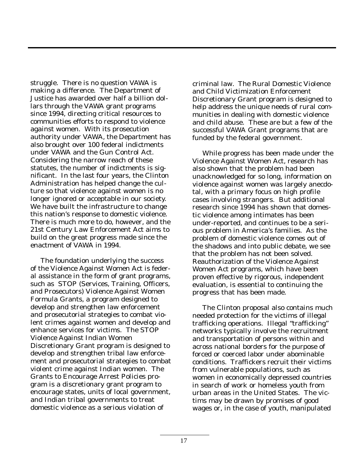struggle. There is no question VAWA is making a difference. The Department of Justice has awarded over half a billion dollars through the VAWA grant programs since 1994, directing critical resources to communities efforts to respond to violence against women. With its prosecution authority under VAWA, the Department has also brought over 100 federal indictments under VAWA and the Gun Control Act. Considering the narrow reach of these statutes, the number of indictments is significant. In the last four years, the Clinton Administration has helped change the culture so that violence against women is no longer ignored or acceptable in our society. We have built the infrastructure to change this nation's response to domestic violence. There is much more to do, however, and the 21st Century Law Enforcement Act aims to build on the great progress made since the enactment of VAWA in 1994.

The foundation underlying the success of the Violence Against Women Act is federal assistance in the form of grant programs, such as STOP (Services, Training, Officers, and Prosecutors) Violence Against Women Formula Grants, a program designed to develop and strengthen law enforcement and prosecutorial strategies to combat violent crimes against women and develop and enhance services for victims. The STOP Violence Against Indian Women Discretionary Grant program is designed to develop and strengthen tribal law enforcement and prosecutorial strategies to combat violent crime against Indian women. The Grants to Encourage Arrest Policies program is a discretionary grant program to encourage states, units of local government, and Indian tribal governments to treat domestic violence as a serious violation of

criminal law. The Rural Domestic Violence and Child Victimization Enforcement Discretionary Grant program is designed to help address the unique needs of rural communities in dealing with domestic violence and child abuse. These are but a few of the successful VAWA Grant programs that are funded by the federal government.

While progress has been made under the Violence Against Women Act, research has also shown that the problem had been unacknowledged for so long, information on violence against women was largely anecdotal, with a primary focus on high profile cases involving strangers. But additional research since 1994 has shown that domestic violence among intimates has been under-reported, and continues to be a serious problem in America's families. As the problem of domestic violence comes out of the shadows and into public debate, we see that the problem has not been solved. Reauthorization of the Violence Against Women Act programs, which have been proven effective by rigorous, independent evaluation, is essential to continuing the progress that has been made.

The Clinton proposal also contains much needed protection for the victims of illegal trafficking operations. Illegal "trafficking" networks typically involve the recruitment and transportation of persons within and across national borders for the purpose of forced or coerced labor under abominable conditions. Traffickers recruit their victims from vulnerable populations, such as women in economically depressed countries in search of work or homeless youth from urban areas in the United States. The victims may be drawn by promises of good wages or, in the case of youth, manipulated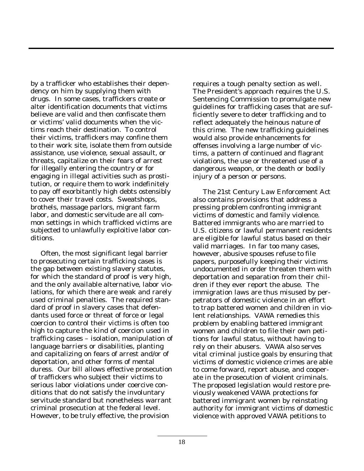by a trafficker who establishes their dependency on him by supplying them with drugs. In some cases, traffickers create or alter identification documents that victims believe are valid and then confiscate them or victims' valid documents when the victims reach their destination. To control their victims, traffickers may confine them to their work site, isolate them from outside assistance, use violence, sexual assault, or threats, capitalize on their fears of arrest for illegally entering the country or for engaging in illegal activities such as prostitution, or require them to work indefinitely to pay off exorbitantly high debts ostensibly to cover their travel costs. Sweatshops, brothels, massage parlors, migrant farm labor, and domestic servitude are all common settings in which trafficked victims are subjected to unlawfully exploitive labor conditions.

Often, the most significant legal barrier to prosecuting certain trafficking cases is the gap between existing slavery statutes, for which the standard of proof is very high, and the only available alternative, labor violations, for which there are weak and rarely used criminal penalties. The required standard of proof in slavery cases that defendants used force or threat of force or legal coercion to control their victims is often too high to capture the kind of coercion used in trafficking cases – isolation, manipulation of language barriers or disabilities, planting and capitalizing on fears of arrest and/or of deportation, and other forms of mental duress. Our bill allows effective prosecution of traffickers who subject their victims to serious labor violations under coercive conditions that do not satisfy the involuntary servitude standard but nonetheless warrant criminal prosecution at the federal level. However, to be truly effective, the provision

requires a tough penalty section as well. The President's approach requires the U.S. Sentencing Commission to promulgate new guidelines for trafficking cases that are sufficiently severe to deter trafficking and to reflect adequately the heinous nature of this crime. The new trafficking guidelines would also provide enhancements for offenses involving a large number of victims, a pattern of continued and flagrant violations, the use or threatened use of a dangerous weapon, or the death or bodily injury of a person or persons.

The 21st Century Law Enforcement Act also contains provisions that address a pressing problem confronting immigrant victims of domestic and family violence. Battered immigrants who are married to U.S. citizens or lawful permanent residents are eligible for lawful status based on their valid marriages. In far too many cases, however, abusive spouses refuse to file papers, purposefully keeping their victims undocumented in order threaten them with deportation and separation from their children if they ever report the abuse. The immigration laws are thus misused by perpetrators of domestic violence in an effort to trap battered women and children in violent relationships. VAWA remedies this problem by enabling battered immigrant women and children to file their own petitions for lawful status, without having to rely on their abusers. VAWA also serves vital criminal justice goals by ensuring that victims of domestic violence crimes are able to come forward, report abuse, and cooperate in the prosecution of violent criminals. The proposed legislation would restore previously weakened VAWA protections for battered immigrant women by reinstating authority for immigrant victims of domestic violence with approved VAWA petitions to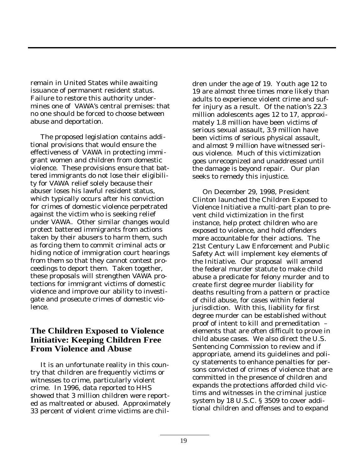remain in United States while awaiting issuance of permanent resident status. Failure to restore this authority undermines one of VAWA's central premises: that no one should be forced to choose between abuse and deportation.

The proposed legislation contains additional provisions that would ensure the effectiveness of VAWA in protecting immigrant women and children from domestic violence. These provisions ensure that battered immigrants do not lose their eligibility for VAWA relief solely because their abuser loses his lawful resident status, which typically occurs after his conviction for crimes of domestic violence perpetrated against the victim who is seeking relief under VAWA. Other similar changes would protect battered immigrants from actions taken by their abusers to harm them, such as forcing them to commit criminal acts or hiding notice of immigration court hearings from them so that they cannot contest proceedings to deport them. Taken together, these proposals will strengthen VAWA protections for immigrant victims of domestic violence and improve our ability to investigate and prosecute crimes of domestic violence.

# **The Children Exposed to Violence Initiative: Keeping Children Free From Violence and Abuse**

It is an unfortunate reality in this country that children are frequently victims or witnesses to crime, particularly violent crime. In 1996, data reported to HHS showed that 3 million children were reported as maltreated or abused. Approximately 33 percent of violent crime victims are chil-

dren under the age of 19. Youth age 12 to 19 are almost three times more likely than adults to experience violent crime and suffer injury as a result. Of the nation's 22.3 million adolescents ages 12 to 17, approximately 1.8 million have been victims of serious sexual assault, 3.9 million have been victims of serious physical assault, and almost 9 million have witnessed serious violence. Much of this victimization goes unrecognized and unaddressed until the damage is beyond repair. Our plan seeks to remedy this injustice.

On December 29, 1998, President Clinton launched the Children Exposed to Violence Initiative a multi-part plan to prevent child victimization in the first instance, help protect children who are exposed to violence, and hold offenders more accountable for their actions. The 21st Century Law Enforcement and Public Safety Act will implement key elements of the Initiative. Our proposal will amend the federal murder statute to make child abuse a predicate for felony murder and to create first degree murder liability for deaths resulting from a pattern or practice of child abuse, for cases within federal jurisdiction. With this, liability for first degree murder can be established without proof of intent to kill and premeditation – elements that are often difficult to prove in child abuse cases. We also direct the U.S. Sentencing Commission to review and if appropriate, amend its guidelines and policy statements to enhance penalties for persons convicted of crimes of violence that are committed in the presence of children and expands the protections afforded child victims and witnesses in the criminal justice system by 18 U.S.C. § 3509 to cover additional children and offenses and to expand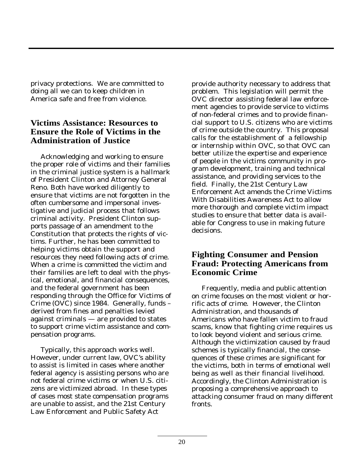privacy protections. We are committed to doing all we can to keep children in America safe and free from violence.

# **Victims Assistance: Resources to Ensure the Role of Victims in the Administration of Justice**

Acknowledging and working to ensure the proper role of victims and their families in the criminal justice system is a hallmark of President Clinton and Attorney General Reno. Both have worked diligently to ensure that victims are not forgotten in the often cumbersome and impersonal investigative and judicial process that follows criminal activity. President Clinton supports passage of an amendment to the Constitution that protects the rights of victims. Further, he has been committed to helping victims obtain the support and resources they need following acts of crime. When a crime is committed the victim and their families are left to deal with the physical, emotional, and financial consequences, and the federal government has been responding through the Office for Victims of Crime (OVC) since 1984. Generally, funds – derived from fines and penalties levied against criminals — are provided to states to support crime victim assistance and compensation programs.

Typically, this approach works well. However, under current law, OVC's ability to assist is limited in cases where another federal agency is assisting persons who are not federal crime victims or when U.S. citizens are victimized abroad. In these types of cases most state compensation programs are unable to assist, and the 21st Century Law Enforcement and Public Safety Act

provide authority necessary to address that problem. This legislation will permit the OVC director assisting federal law enforcement agencies to provide service to victims of non-federal crimes and to provide financial support to U.S. citizens who are victims of crime outside the country. This proposal calls for the establishment of a fellowship or internship within OVC, so that OVC can better utilize the expertise and experience of people in the victims community in program development, training and technical assistance, and providing services to the field. Finally, the 21st Century Law Enforcement Act amends the Crime Victims With Disabilities Awareness Act to allow more thorough and complete victim impact studies to ensure that better data is available for Congress to use in making future decisions.

# **Fighting Consumer and Pension Fraud: Protecting Americans from Economic Crime**

Frequently, media and public attention on crime focuses on the most violent or horrific acts of crime. However, the Clinton Administration, and thousands of Americans who have fallen victim to fraud scams, know that fighting crime requires us to look beyond violent and serious crime. Although the victimization caused by fraud schemes is typically financial, the consequences of these crimes are significant for the victims, both in terms of emotional well being as well as their financial livelihood. Accordingly, the Clinton Administration is proposing a comprehensive approach to attacking consumer fraud on many different fronts.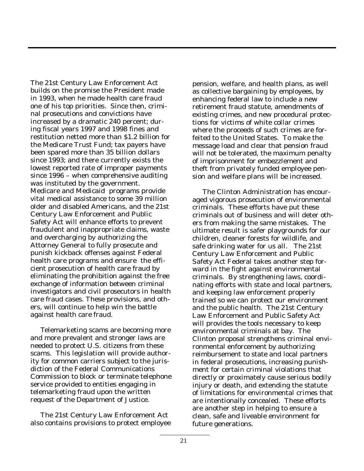The 21st Century Law Enforcement Act builds on the promise the President made in 1993, when he made health care fraud one of his top priorities. Since then, criminal prosecutions and convictions have increased by a dramatic 240 percent; during fiscal years 1997 and 1998 fines and restitution netted more than \$1.2 billion for the Medicare Trust Fund; tax payers have been spared more than 35 billion dollars since 1993; and there currently exists the lowest reported rate of improper payments since 1996 – when comprehensive auditing was instituted by the government. Medicare and Medicaid programs provide vital medical assistance to some 39 million older and disabled Americans, and the 21st Century Law Enforcement and Public Safety Act will enhance efforts to prevent fraudulent and inappropriate claims, waste and overcharging by authorizing the Attorney General to fully prosecute and punish kickback offenses against Federal health care programs and ensure the efficient prosecution of health care fraud by eliminating the prohibition against the free exchange of information between criminal investigators and civil prosecutors in health care fraud cases. These provisions, and others, will continue to help win the battle against health care fraud.

Telemarketing scams are becoming more and more prevalent and stronger laws are needed to protect U.S. citizens from these scams. This legislation will provide authority for common carriers subject to the jurisdiction of the Federal Communications Commission to block or terminate telephone service provided to entities engaging in telemarketing fraud upon the written request of the Department of Justice.

The 21st Century Law Enforcement Act also contains provisions to protect employee pension, welfare, and health plans, as well as collective bargaining by employees, by enhancing federal law to include a new retirement fraud statute, amendments of existing crimes, and new procedural protections for victims of white collar crimes where the proceeds of such crimes are forfeited to the United States. To make the message load and clear that pension fraud will not be tolerated, the maximum penalty of imprisonment for embezzlement and theft from privately funded employee pension and welfare plans will be increased.

The Clinton Administration has encouraged vigorous prosecution of environmental criminals. These efforts have put these criminals out of business and will deter others from making the same mistakes. The ultimate result is safer playgrounds for our children, cleaner forests for wildlife, and safe drinking water for us all. The 21st Century Law Enforcement and Public Safety Act Federal takes another step forward in the fight against environmental criminals. By strengthening laws, coordinating efforts with state and local partners, and keeping law enforcement properly trained so we can protect our environment and the public health. The 21st Century Law Enforcement and Public Safety Act will provides the tools necessary to keep environmental criminals at bay. The Clinton proposal strengthens criminal environmental enforcement by authorizing reimbursement to state and local partners in federal prosecutions, increasing punishment for certain criminal violations that directly or proximately cause serious bodily injury or death, and extending the statute of limitations for environmental crimes that are intentionally concealed. These efforts are another step in helping to ensure a clean, safe and liveable environment for future generations.